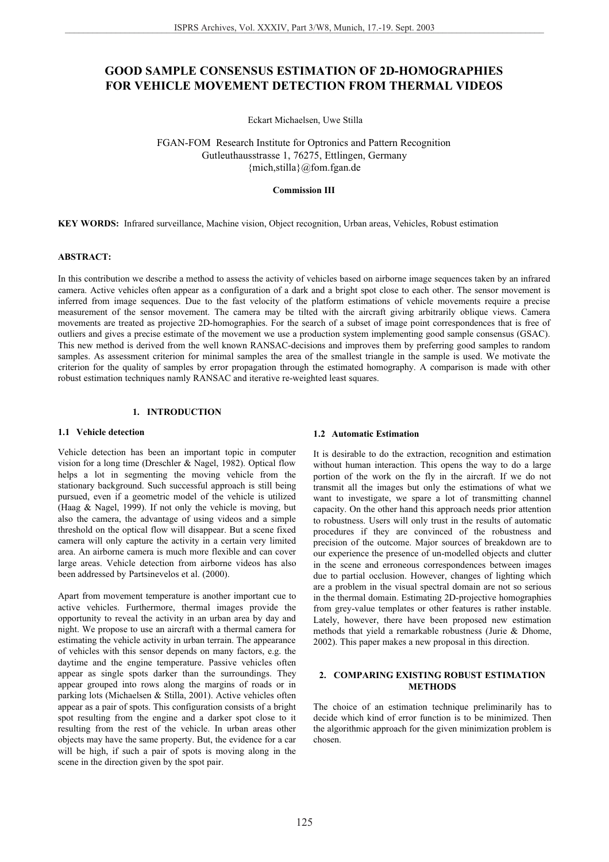# **GOOD SAMPLE CONSENSUS ESTIMATION OF 2D-HOMOGRAPHIES FOR VEHICLE MOVEMENT DETECTION FROM THERMAL VIDEOS**

Eckart Michaelsen, Uwe Stilla

FGAN-FOM Research Institute for Optronics and Pattern Recognition Gutleuthausstrasse 1, 76275, Ettlingen, Germany {mich,stilla}@fom.fgan.de

#### **Commission III**

**KEY WORDS:** Infrared surveillance, Machine vision, Object recognition, Urban areas, Vehicles, Robust estimation

# **ABSTRACT:**

In this contribution we describe a method to assess the activity of vehicles based on airborne image sequences taken by an infrared camera. Active vehicles often appear as a configuration of a dark and a bright spot close to each other. The sensor movement is inferred from image sequences. Due to the fast velocity of the platform estimations of vehicle movements require a precise measurement of the sensor movement. The camera may be tilted with the aircraft giving arbitrarily oblique views. Camera movements are treated as projective 2D-homographies. For the search of a subset of image point correspondences that is free of outliers and gives a precise estimate of the movement we use a production system implementing good sample consensus (GSAC). This new method is derived from the well known RANSAC-decisions and improves them by preferring good samples to random samples. As assessment criterion for minimal samples the area of the smallest triangle in the sample is used. We motivate the criterion for the quality of samples by error propagation through the estimated homography. A comparison is made with other robust estimation techniques namly RANSAC and iterative re-weighted least squares.

# **1. INTRODUCTION**

## **1.1 Vehicle detection**

Vehicle detection has been an important topic in computer vision for a long time (Dreschler & Nagel, 1982). Optical flow helps a lot in segmenting the moving vehicle from the stationary background. Such successful approach is still being pursued, even if a geometric model of the vehicle is utilized (Haag & Nagel, 1999). If not only the vehicle is moving, but also the camera, the advantage of using videos and a simple threshold on the optical flow will disappear. But a scene fixed camera will only capture the activity in a certain very limited area. An airborne camera is much more flexible and can cover large areas. Vehicle detection from airborne videos has also been addressed by Partsinevelos et al. (2000).

Apart from movement temperature is another important cue to active vehicles. Furthermore, thermal images provide the opportunity to reveal the activity in an urban area by day and night. We propose to use an aircraft with a thermal camera for estimating the vehicle activity in urban terrain. The appearance of vehicles with this sensor depends on many factors, e.g. the daytime and the engine temperature. Passive vehicles often appear as single spots darker than the surroundings. They appear grouped into rows along the margins of roads or in parking lots (Michaelsen & Stilla, 2001). Active vehicles often appear as a pair of spots. This configuration consists of a bright spot resulting from the engine and a darker spot close to it resulting from the rest of the vehicle. In urban areas other objects may have the same property. But, the evidence for a car will be high, if such a pair of spots is moving along in the scene in the direction given by the spot pair.

#### **1.2 Automatic Estimation**

It is desirable to do the extraction, recognition and estimation without human interaction. This opens the way to do a large portion of the work on the fly in the aircraft. If we do not transmit all the images but only the estimations of what we want to investigate, we spare a lot of transmitting channel capacity. On the other hand this approach needs prior attention to robustness. Users will only trust in the results of automatic procedures if they are convinced of the robustness and precision of the outcome. Major sources of breakdown are to our experience the presence of un-modelled objects and clutter in the scene and erroneous correspondences between images due to partial occlusion. However, changes of lighting which are a problem in the visual spectral domain are not so serious in the thermal domain. Estimating 2D-projective homographies from grey-value templates or other features is rather instable. Lately, however, there have been proposed new estimation methods that yield a remarkable robustness (Jurie & Dhome, 2002). This paper makes a new proposal in this direction.

#### **2. COMPARING EXISTING ROBUST ESTIMATION METHODS**

The choice of an estimation technique preliminarily has to decide which kind of error function is to be minimized. Then the algorithmic approach for the given minimization problem is chosen.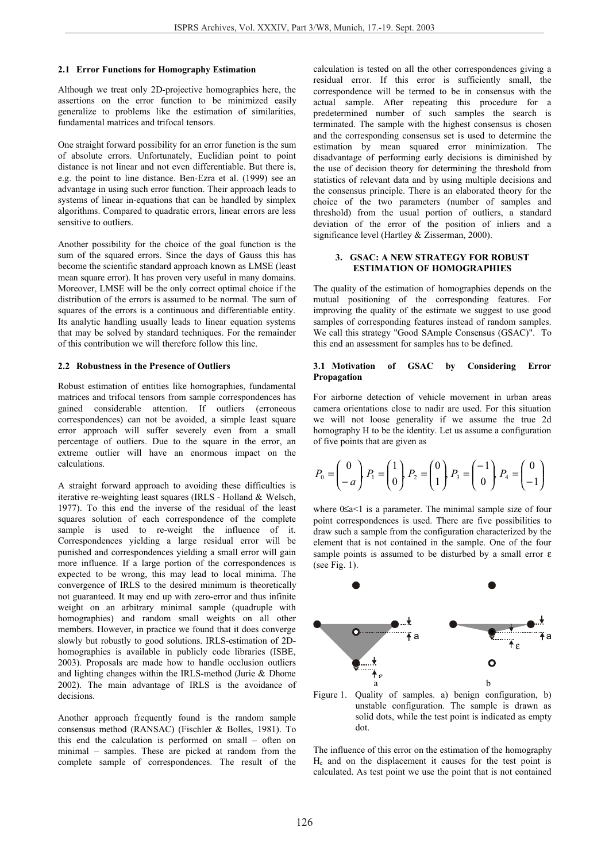#### **2.1 Error Functions for Homography Estimation**

Although we treat only 2D-projective homographies here, the assertions on the error function to be minimized easily generalize to problems like the estimation of similarities, fundamental matrices and trifocal tensors.

One straight forward possibility for an error function is the sum of absolute errors. Unfortunately, Euclidian point to point distance is not linear and not even differentiable. But there is, e.g. the point to line distance. Ben-Ezra et al. (1999) see an advantage in using such error function. Their approach leads to systems of linear in-equations that can be handled by simplex algorithms. Compared to quadratic errors, linear errors are less sensitive to outliers.

Another possibility for the choice of the goal function is the sum of the squared errors. Since the days of Gauss this has become the scientific standard approach known as LMSE (least mean square error). It has proven very useful in many domains. Moreover, LMSE will be the only correct optimal choice if the distribution of the errors is assumed to be normal. The sum of squares of the errors is a continuous and differentiable entity. Its analytic handling usually leads to linear equation systems that may be solved by standard techniques. For the remainder of this contribution we will therefore follow this line.

#### **2.2 Robustness in the Presence of Outliers**

Robust estimation of entities like homographies, fundamental matrices and trifocal tensors from sample correspondences has gained considerable attention. If outliers (erroneous correspondences) can not be avoided, a simple least square error approach will suffer severely even from a small percentage of outliers. Due to the square in the error, an extreme outlier will have an enormous impact on the calculations.

A straight forward approach to avoiding these difficulties is iterative re-weighting least squares (IRLS - Holland & Welsch, 1977). To this end the inverse of the residual of the least squares solution of each correspondence of the complete sample is used to re-weight the influence of it. Correspondences yielding a large residual error will be punished and correspondences yielding a small error will gain more influence. If a large portion of the correspondences is expected to be wrong, this may lead to local minima. The convergence of IRLS to the desired minimum is theoretically not guaranteed. It may end up with zero-error and thus infinite weight on an arbitrary minimal sample (quadruple with homographies) and random small weights on all other members. However, in practice we found that it does converge slowly but robustly to good solutions. IRLS-estimation of 2Dhomographies is available in publicly code libraries (ISBE, 2003). Proposals are made how to handle occlusion outliers and lighting changes within the IRLS-method (Jurie & Dhome 2002). The main advantage of IRLS is the avoidance of decisions.

Another approach frequently found is the random sample consensus method (RANSAC) (Fischler & Bolles, 1981). To this end the calculation is performed on small – often on minimal – samples. These are picked at random from the complete sample of correspondences. The result of the

calculation is tested on all the other correspondences giving a residual error. If this error is sufficiently small, the correspondence will be termed to be in consensus with the actual sample. After repeating this procedure for a predetermined number of such samples the search is terminated. The sample with the highest consensus is chosen and the corresponding consensus set is used to determine the estimation by mean squared error minimization. The disadvantage of performing early decisions is diminished by the use of decision theory for determining the threshold from statistics of relevant data and by using multiple decisions and the consensus principle. There is an elaborated theory for the choice of the two parameters (number of samples and threshold) from the usual portion of outliers, a standard deviation of the error of the position of inliers and a significance level (Hartley & Zisserman, 2000).

#### **3. GSAC: A NEW STRATEGY FOR ROBUST ESTIMATION OF HOMOGRAPHIES**

The quality of the estimation of homographies depends on the mutual positioning of the corresponding features. For improving the quality of the estimate we suggest to use good samples of corresponding features instead of random samples. We call this strategy "Good SAmple Consensus (GSAC)". To this end an assessment for samples has to be defined.

#### **3.1 Motivation of GSAC by Considering Error Propagation**

For airborne detection of vehicle movement in urban areas camera orientations close to nadir are used. For this situation we will not loose generality if we assume the true 2d homography H to be the identity. Let us assume a configuration of five points that are given as

$$
P_0 = \begin{pmatrix} 0 \\ -a \end{pmatrix} P_1 = \begin{pmatrix} 1 \\ 0 \end{pmatrix} P_2 = \begin{pmatrix} 0 \\ 1 \end{pmatrix} P_3 = \begin{pmatrix} -1 \\ 0 \end{pmatrix} P_4 = \begin{pmatrix} 0 \\ -1 \end{pmatrix}
$$

where 0≤a<1 is a parameter. The minimal sample size of four point correspondences is used. There are five possibilities to draw such a sample from the configuration characterized by the element that is not contained in the sample. One of the four sample points is assumed to be disturbed by a small error  $\varepsilon$ (see Fig. 1).



Figure 1. Quality of samples. a) benign configuration, b) unstable configuration. The sample is drawn as solid dots, while the test point is indicated as empty dot.

The influence of this error on the estimation of the homography He and on the displacement it causes for the test point is calculated. As test point we use the point that is not contained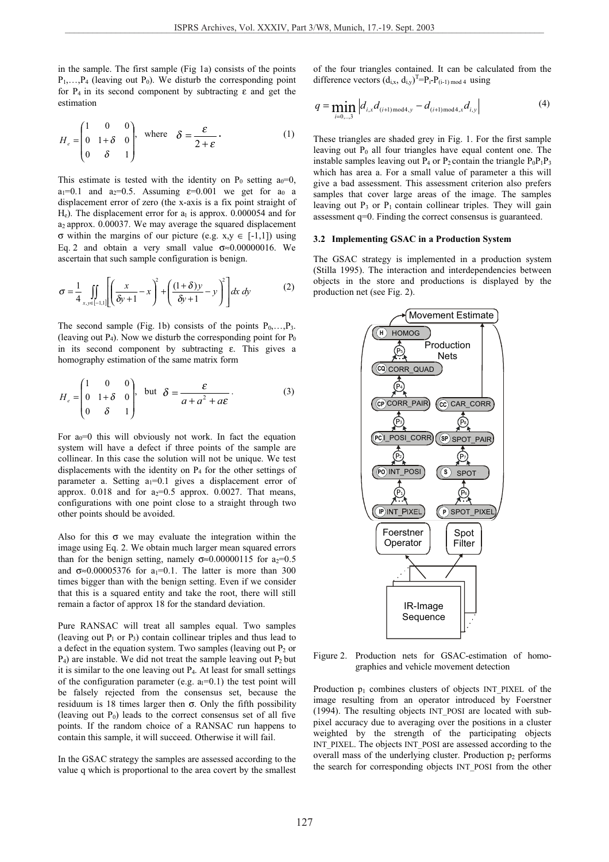in the sample. The first sample (Fig 1a) consists of the points  $P_1, \ldots, P_4$  (leaving out  $P_0$ ). We disturb the corresponding point for  $P_4$  in its second component by subtracting  $\varepsilon$  and get the estimation

$$
H_e = \begin{pmatrix} 1 & 0 & 0 \\ 0 & 1+\delta & 0 \\ 0 & \delta & 1 \end{pmatrix}, \text{ where } \delta = \frac{\varepsilon}{2+\varepsilon}.
$$
 (1)

This estimate is tested with the identity on  $P_0$  setting  $a_0=0$ ,  $a_1=0.1$  and  $a_2=0.5$ . Assuming  $\varepsilon=0.001$  we get for  $a_0$  a displacement error of zero (the x-axis is a fix point straight of  $H_e$ ). The displacement error for  $a_1$  is approx. 0.000054 and for a2 approx. 0.00037. We may average the squared displacement σ within the margins of our picture (e.g. x,y ∈ [-1,1]) using Eq. 2 and obtain a very small value  $\sigma \approx 0.00000016$ . We ascertain that such sample configuration is benign.

$$
\sigma = \frac{1}{4} \iint\limits_{x,y \in [-1,1]} \left[ \left( \frac{x}{\delta y + 1} - x \right)^2 + \left( \frac{(1+\delta)y}{\delta y + 1} - y \right)^2 \right] dx dy \tag{2}
$$

The second sample (Fig. 1b) consists of the points  $P_0, \ldots, P_3$ . (leaving out  $P_4$ ). Now we disturb the corresponding point for  $P_0$ in its second component by subtracting ε. This gives a homography estimation of the same matrix form

$$
H_e = \begin{pmatrix} 1 & 0 & 0 \\ 0 & 1+\delta & 0 \\ 0 & \delta & 1 \end{pmatrix}, \text{ but } \delta = \frac{\varepsilon}{a+a^2 + a\varepsilon}.
$$
 (3)

For  $a_0=0$  this will obviously not work. In fact the equation system will have a defect if three points of the sample are collinear. In this case the solution will not be unique. We test displacements with the identity on P4 for the other settings of parameter a. Setting  $a_1=0.1$  gives a displacement error of approx.  $0.018$  and for  $a_2=0.5$  approx.  $0.0027$ . That means, configurations with one point close to a straight through two other points should be avoided.

Also for this  $\sigma$  we may evaluate the integration within the image using Eq. 2. We obtain much larger mean squared errors than for the benign setting, namely  $\sigma \approx 0.00000115$  for  $a_2=0.5$ and  $\sigma \approx 0.00005376$  for a<sub>1</sub>=0.1. The latter is more than 300 times bigger than with the benign setting. Even if we consider that this is a squared entity and take the root, there will still remain a factor of approx 18 for the standard deviation.

Pure RANSAC will treat all samples equal. Two samples (leaving out  $P_1$  or  $P_3$ ) contain collinear triples and thus lead to a defect in the equation system. Two samples (leaving out  $P_2$  or  $P_4$ ) are instable. We did not treat the sample leaving out  $P_2$  but it is similar to the one leaving out P4. At least for small settings of the configuration parameter (e.g.  $a_1=0.1$ ) the test point will be falsely rejected from the consensus set, because the residuum is 18 times larger then σ. Only the fifth possibility (leaving out  $P_0$ ) leads to the correct consensus set of all five points. If the random choice of a RANSAC run happens to contain this sample, it will succeed. Otherwise it will fail.

In the GSAC strategy the samples are assessed according to the value q which is proportional to the area covert by the smallest of the four triangles contained. It can be calculated from the difference vectors  $(d_{i,x}, d_{i,y})^T = P_i - P_{(i-1) \mod 4}$  using

$$
q = \min_{i=0,\dots,3} \left| d_{i,x} d_{(i+1)\text{ mod }4,y} - d_{(i+1)\text{ mod }4,x} d_{i,y} \right| \tag{4}
$$

These triangles are shaded grey in Fig. 1. For the first sample leaving out  $P_0$  all four triangles have equal content one. The instable samples leaving out  $P_4$  or  $P_2$  contain the triangle  $P_0P_1P_3$ which has area a. For a small value of parameter a this will give a bad assessment. This assessment criterion also prefers samples that cover large areas of the image. The samples leaving out  $P_3$  or  $P_1$  contain collinear triples. They will gain assessment q=0. Finding the correct consensus is guaranteed.

#### **3.2 Implementing GSAC in a Production System**

The GSAC strategy is implemented in a production system (Stilla 1995). The interaction and interdependencies between objects in the store and productions is displayed by the production net (see Fig. 2).



Figure 2. Production nets for GSAC-estimation of homographies and vehicle movement detection

Production  $p_1$  combines clusters of objects INT\_PIXEL of the image resulting from an operator introduced by Foerstner (1994). The resulting objects INT\_POSI are located with subpixel accuracy due to averaging over the positions in a cluster weighted by the strength of the participating objects INT\_PIXEL. The objects INT\_POSI are assessed according to the overall mass of the underlying cluster. Production  $p_2$  performs the search for corresponding objects INT\_POSI from the other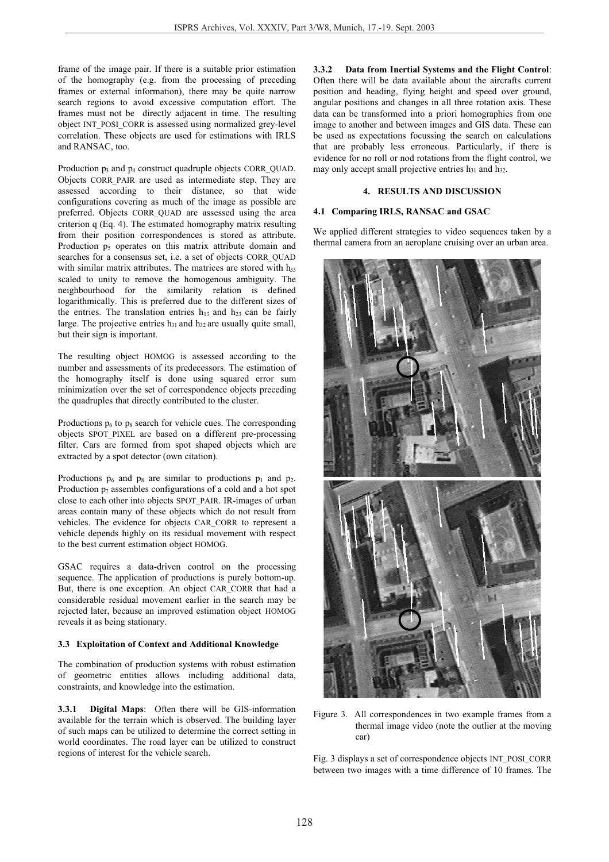frame of the image pair. If there is a suitable prior estimation of the homography (e.g. from the processing of preceding frames or external information), there may be quite narrow search regions to avoid excessive computation effort. The frames must not be directly adjacent in time. The resulting object INT\_POSI\_CORR is assessed using normalized grey-level correlation. These objects are used for estimations with IRLS and RANSAC, too.

Production  $p_3$  and  $p_4$  construct quadruple objects CORR\_QUAD. Objects CORR\_PAIR are used as intermediate step. They are assessed according to their distance, so that wide configurations covering as much of the image as possible are preferred. Objects CORR\_QUAD are assessed using the area criterion q (Eq. 4). The estimated homography matrix resulting from their position correspondences is stored as attribute. Production  $p_5$  operates on this matrix attribute domain and searches for a consensus set, i.e. a set of objects CORR\_QUAD with similar matrix attributes. The matrices are stored with h33 scaled to unity to remove the homogenous ambiguity. The neighbourhood for the similarity relation is defined logarithmically. This is preferred due to the different sizes of the entries. The translation entries  $h_{13}$  and  $h_{23}$  can be fairly large. The projective entries  $h_{31}$  and  $h_{32}$  are usually quite small, but their sign is important.

The resulting object HOMOG is assessed according to the number and assessments of its predecessors. The estimation of the homography itself is done using squared error sum minimization over the set of correspondence objects preceding the quadruples that directly contributed to the cluster.

Productions  $p_6$  to  $p_8$  search for vehicle cues. The corresponding objects SPOT\_PIXEL are based on a different pre-processing filter. Cars are formed from spot shaped objects which are extracted by a spot detector (own citation).

Productions  $p_6$  and  $p_8$  are similar to productions  $p_1$  and  $p_2$ . Production  $p_7$  assembles configurations of a cold and a hot spot close to each other into objects SPOT\_PAIR. IR-images of urban areas contain many of these objects which do not result from vehicles. The evidence for objects CAR\_CORR to represent a vehicle depends highly on its residual movement with respect to the best current estimation object HOMOG.

GSAC requires a data-driven control on the processing sequence. The application of productions is purely bottom-up. But, there is one exception. An object CAR\_CORR that had a considerable residual movement earlier in the search may be rejected later, because an improved estimation object HOMOG reveals it as being stationary.

## **3.3 Exploitation of Context and Additional Knowledge**

The combination of production systems with robust estimation of geometric entities allows including additional data, constraints, and knowledge into the estimation.

**3.3.1 Digital Maps**: Often there will be GIS-information available for the terrain which is observed. The building layer of such maps can be utilized to determine the correct setting in world coordinates. The road layer can be utilized to construct regions of interest for the vehicle search.

**3.3.2 Data from Inertial Systems and the Flight Control**: Often there will be data available about the aircrafts current position and heading, flying height and speed over ground, angular positions and changes in all three rotation axis. These data can be transformed into a priori homographies from one image to another and between images and GIS data. These can be used as expectations focussing the search on calculations that are probably less erroneous. Particularly, if there is evidence for no roll or nod rotations from the flight control, we may only accept small projective entries  $h_{31}$  and  $h_{32}$ .

#### **4. RESULTS AND DISCUSSION**

#### **4.1 Comparing IRLS, RANSAC and GSAC**

We applied different strategies to video sequences taken by a thermal camera from an aeroplane cruising over an urban area.



Figure 3. All correspondences in two example frames from a thermal image video (note the outlier at the moving car)

Fig. 3 displays a set of correspondence objects INT\_POSI\_CORR between two images with a time difference of 10 frames. The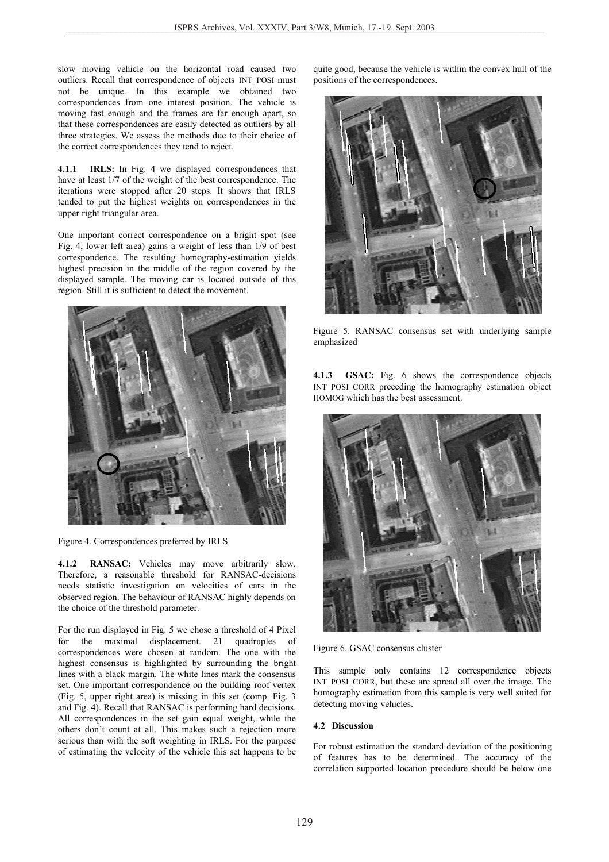slow moving vehicle on the horizontal road caused two outliers. Recall that correspondence of objects INT\_POSI must not be unique. In this example we obtained two correspondences from one interest position. The vehicle is moving fast enough and the frames are far enough apart, so that these correspondences are easily detected as outliers by all three strategies. We assess the methods due to their choice of the correct correspondences they tend to reject.

**4.1.1 IRLS:** In Fig. 4 we displayed correspondences that have at least 1/7 of the weight of the best correspondence. The iterations were stopped after 20 steps. It shows that IRLS tended to put the highest weights on correspondences in the upper right triangular area.

One important correct correspondence on a bright spot (see Fig. 4, lower left area) gains a weight of less than 1/9 of best correspondence. The resulting homography-estimation yields highest precision in the middle of the region covered by the displayed sample. The moving car is located outside of this region. Still it is sufficient to detect the movement.



Figure 4. Correspondences preferred by IRLS

**4.1.2 RANSAC:** Vehicles may move arbitrarily slow. Therefore, a reasonable threshold for RANSAC-decisions needs statistic investigation on velocities of cars in the observed region. The behaviour of RANSAC highly depends on the choice of the threshold parameter.

For the run displayed in Fig. 5 we chose a threshold of 4 Pixel for the maximal displacement. 21 quadruples of correspondences were chosen at random. The one with the highest consensus is highlighted by surrounding the bright lines with a black margin. The white lines mark the consensus set. One important correspondence on the building roof vertex (Fig. 5, upper right area) is missing in this set (comp. Fig. 3 and Fig. 4). Recall that RANSAC is performing hard decisions. All correspondences in the set gain equal weight, while the others don't count at all. This makes such a rejection more serious than with the soft weighting in IRLS. For the purpose of estimating the velocity of the vehicle this set happens to be

quite good, because the vehicle is within the convex hull of the positions of the correspondences.



Figure 5. RANSAC consensus set with underlying sample emphasized

**4.1.3 GSAC:** Fig. 6 shows the correspondence objects INT\_POSI\_CORR preceding the homography estimation object HOMOG which has the best assessment.



Figure 6. GSAC consensus cluster

This sample only contains 12 correspondence objects INT POSI CORR, but these are spread all over the image. The homography estimation from this sample is very well suited for detecting moving vehicles.

## **4.2 Discussion**

For robust estimation the standard deviation of the positioning of features has to be determined. The accuracy of the correlation supported location procedure should be below one